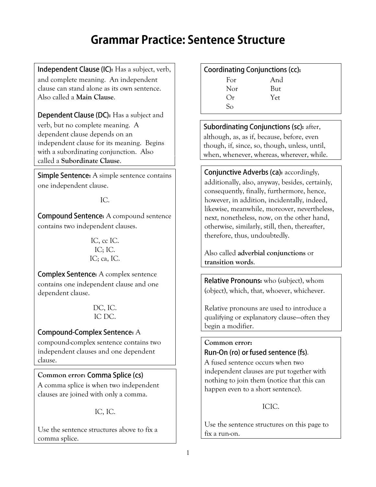# **Grammar Practice: Sentence Structure**

**Independent Clause (IC):** Has a subject, verb, and complete meaning. An independent clause can stand alone as its own sentence. Also called a **Main Clause**.

**Dependent Clause (DC):** Has a subject and verb, but no complete meaning. A dependent clause depends on an independent clause for its meaning. Begins with a subordinating conjunction. Also called a **Subordinate Clause**.

**Simple Sentence:** A simple sentence contains one independent clause.

IC.

**Compound Sentence:** A compound sentence contains two independent clauses.

> IC, cc IC. IC; IC. IC; ca, IC.

**Complex Sentence:** A complex sentence contains one independent clause and one dependent clause.

> DC, IC. IC DC.

### **Compound-Complex Sentence: A**

compound-complex sentence contains two independent clauses and one dependent clause.

### Common error: Comma Splice (cs)

A comma splice is when two independent clauses are joined with only a comma.

IC, IC.

Use the sentence structures above to fix a comma splice.

#### Coordinating Conjunctions (cc):

| For | And |
|-----|-----|
| Nor | But |
| Or  | Yet |
| So  |     |

**Subordinating Conjunctions (sc): after,** although, as, as if, because, before, even though, if, since, so, though, unless, until, when, whenever, whereas, wherever, while.

**Conjunctive Adverbs (ca): accordingly,** additionally, also, anyway, besides, certainly, consequently, finally, furthermore, hence, however, in addition, incidentally, indeed, likewise, meanwhile, moreover, nevertheless, next, nonetheless, now, on the other hand, otherwise, similarly, still, then, thereafter, therefore, thus, undoubtedly.

Also called **adverbial conjunctions** or **transition words**.

**Relative Pronouns:** who (subject), whom (object), which, that, whoever, whichever.

Relative pronouns are used to introduce a qualifying or explanatory clause—often they begin a modifier.

#### **Common error:**  Run-On (ro) or fused sentence (fs).

A fused sentence occurs when two independent clauses are put together with nothing to join them (notice that this can happen even to a short sentence).

#### ICIC.

Use the sentence structures on this page to fix a run-on.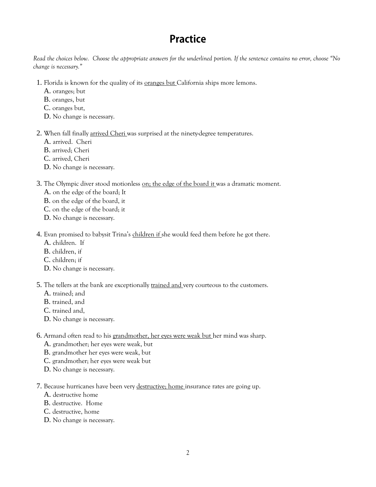## **Practice**

*Read the choices below. Choose the appropriate answers for the underlined portion. If the sentence contains no error, choose "No change is necessary."*

- 1. Florida is known for the quality of its oranges but California ships more lemons.
	- A. oranges; but
	- B. oranges, but
	- C. oranges but,
	- D. No change is necessary.
- 2. When fall finally arrived Cheri was surprised at the ninety-degree temperatures.
	- A. arrived. Cheri
	- B. arrived; Cheri
	- C. arrived, Cheri
	- D. No change is necessary.

#### 3. The Olympic diver stood motionless on; the edge of the board it was a dramatic moment.

- A. on the edge of the board; It
- B. on the edge of the board, it
- C. on the edge of the board; it
- D. No change is necessary.
- 4. Evan promised to babysit Trina's children if she would feed them before he got there.
	- A. children. If
	- B. children, if
	- C. children; if
	- D. No change is necessary.
- 5. The tellers at the bank are exceptionally trained and very courteous to the customers.
	- A. trained; and
	- B. trained, and
	- C. trained and,
	- D. No change is necessary.
- 6. Armand often read to his grandmother, her eyes were weak but her mind was sharp.
	- A. grandmother; her eyes were weak, but
	- B. grandmother her eyes were weak, but
	- C. grandmother; her eyes were weak but
	- D. No change is necessary.
- 7. Because hurricanes have been very destructive; home insurance rates are going up.
	- A. destructive home
	- B. destructive. Home
	- C. destructive, home
	- D. No change is necessary.